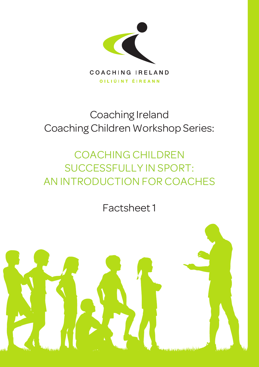

# Coaching Ireland Coaching Children Workshop Series:

# COACHING CHILDREN SUCCESSFULLY IN SPORT: AN INTRODUCTION FOR COACHES

Factsheet 1

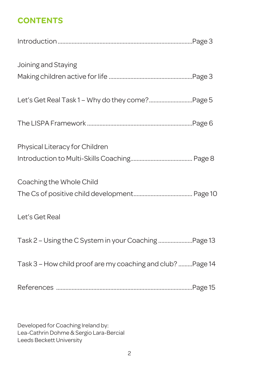### **CONTENTS**

| Joining and Staying                                        |  |
|------------------------------------------------------------|--|
|                                                            |  |
|                                                            |  |
|                                                            |  |
| Physical Literacy for Children                             |  |
|                                                            |  |
| Coaching the Whole Child                                   |  |
|                                                            |  |
| Let's Get Real                                             |  |
| Task 2 - Using the C System in your Coaching  Page 13      |  |
| Task 3 - How child proof are my coaching and club? Page 14 |  |
|                                                            |  |
|                                                            |  |

Developed for Coaching Ireland by: Lea-Cathrin Dohme & Sergio Lara-Bercial Leeds Beckett University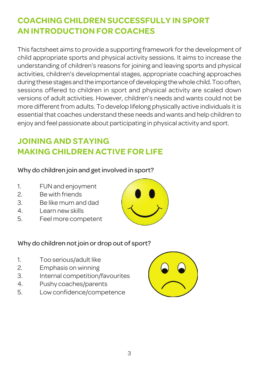### **COACHING CHILDREN SUCCESSFULLY IN SPORT AN INTRODUCTION FOR COACHES**

This factsheet aims to provide a supporting framework for the development of child appropriate sports and physical activity sessions. It aims to increase the understanding of children's reasons for joining and leaving sports and physical activities, children's developmental stages, appropriate coaching approaches during these stages and the importance of developing the whole child. Too often, sessions offered to children in sport and physical activity are scaled down versions of adult activities. However, children's needs and wants could not be more different from adults. To develop lifelong physically active individuals it is essential that coaches understand these needs and wants and help children to enjoy and feel passionate about participating in physical activity and sport.

## **JOINING AND STAYING MAKING CHILDREN ACTIVE FOR LIFE**

#### Why do children join and get involved in sport?

- 1. FUN and enjoyment
- 2. Be with friends
- 3. Be like mum and dad
- 4. Learn new skills
- 5. Feel more competent



#### Why do children not join or drop out of sport?

- 1. Too serious/adult like
- 2. Emphasis on winning
- 3. Internal competition/favourites
- 4. Pushy coaches/parents
- 5. Low confidence/competence

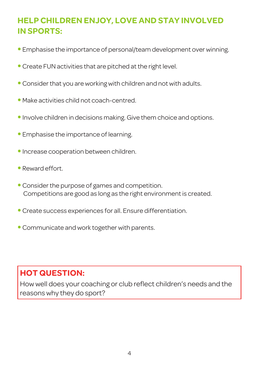### **HELP CHILDREN ENJOY, LOVE AND STAY INVOLVED IN SPORTS:**

- Emphasise the importance of personal/team development over winning.
- Create FUN activities that are pitched at the right level.
- $\bullet$  Consider that you are working with children and not with adults.
- Make activities child not coach-centred.
- Involve children in decisions making. Give them choice and options.
- Emphasise the importance of learning.
- Increase cooperation between children.
- Reward effort.
- Consider the purpose of games and competition. Competitions are good as long as the right environment is created.
- Create success experiences for all. Ensure differentiation.
- Communicate and work together with parents.

### **HOT QUESTION:**

How well does your coaching or club reflect children's needs and the reasons why they do sport?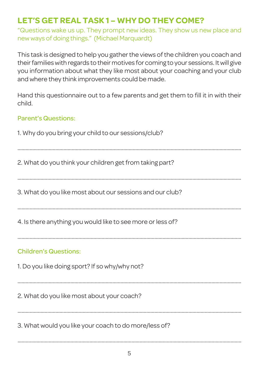### **LET'S GET REAL TASK 1 – WHY DO THEY COME?**

"Questions wake us up. They prompt new ideas. They show us new place and new ways of doing things." (Michael Marquardt)

This task is designed to help you gather the views of the children you coach and their families with regards to their motives for coming to your sessions. It will give you information about what they like most about your coaching and your club and where they think improvements could be made.

Hand this questionnaire out to a few parents and get them to fill it in with their child.

#### Parent's Questions:

| 1. Why do you bring your child to our sessions/club?        |
|-------------------------------------------------------------|
| 2. What do you think your children get from taking part?    |
| 3. What do you like most about our sessions and our club?   |
| 4. Is there anything you would like to see more or less of? |
| <b>Children's Questions:</b>                                |
| 1. Do you like doing sport? If so why/why not?              |
| 2. What do you like most about your coach?                  |
| 3. What would you like your coach to do more/less of?       |
|                                                             |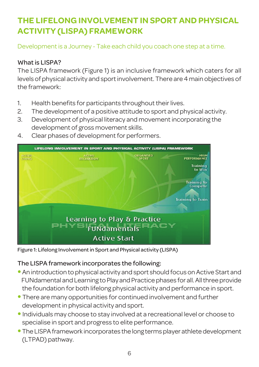## **THE LIFELONG INVOLVEMENT IN SPORT AND PHYSICAL ACTIVITY (LISPA) FRAMEWORK**

Development is a Journey - Take each child you coach one step at a time.

#### What is LISPA?

The LISPA framework (Figure 1) is an inclusive framework which caters for all levels of physical activity and sportinvolvement. There are 4 main objectives of the framework:

- 1. Health benefits for participants throughout their lives.
- 2. The development of a positive attitude to sport and physical activity.
- 3. Development of physical literacy and movement incorporating the development of gross movement skills.
- 4. Clear phases of development for performers.



Figure 1: Lifelong Involvementin Sport and Physical activity (LISPA)

#### The LISPA framework incorporates the following:

- An introduction to physical activity and sport should focus on Active Start and FUNdamental and Learning to Play and Practice phases for all. All three provide the foundation for both lifelong physical activity and performance in sport.
- There are many opportunities for continued involvement and further development in physical activity and sport.
- Individuals may choose to stay involved at a recreational level or choose to specialise in sport and progress to elite performance.
- The LISPA framework incorporates the long terms player athlete development (LTPAD) pathway.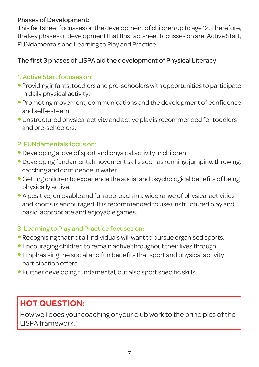#### Phases of Development:

This factsheet focusses on the development of children up to age 12. Therefore, the key phases of development that this factsheet focusses on are: Active Start, FUNdamentals and Learning to Play and Practice.

#### The first 3 phases of LISPA aid the development of Physical Literacy:

#### 1. Active Start focuses on:

- Providing infants, toddlers and pre-schoolers with opportunities to participate in daily physical activity.
- Promoting movement, communications and the development of confidence and self-esteem.
- Unstructured physical activity and active play is recommended fortoddlers and pre-schoolers.

#### 2. FUNdamentals focus on:

- Developing a love of sport and physical activity in children.
- Developing fundamental movement skills such as running, jumping, throwing, catching and confidence in water.
- Getting children to experience the social and psychological benefits of being physically active.
- A positive, enjoyable and fun approach in a wide range of physical activities and sports is encouraged. Itis recommended to use unstructured play and basic, appropriate and enjoyable games.

#### 3. Learning to Play and Practice focuses on:

- Recognising that not all individuals will want to pursue organised sports.
- Encouraging children to remain active throughout their lives through:
- Emphasising the social and fun benefits that sport and physical activity participation offers.
- Further developing fundamental, but also sport specific skills.

### **HOT QUESTION:**

How well does your coaching or your club work to the principles of the LISPA framework?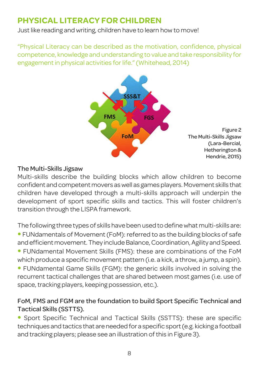### **PHYSICAL LITERACY FOR CHILDREN**

Just like reading and writing, children have to learn how to move!

"Physical Literacy can be described as the motivation, confidence, physical competence, knowledge and understanding to value and take responsibility for engagement in physical activities for life." (Whitehead, 2014)



#### The Multi-Skills Jigsaw

Multi-skills describe the building blocks which allow children to become confident and competent movers as well as games players. Movement skills that children have developed through a multi-skills approach will underpin the development of sport specific skills and tactics. This will foster children's transition through the LISPA framework.

The following three types of skills have been used to definewhat multi-skills are: • FUNdamentals of Movement (FoM): referred to as the building blocks of safe and efficient movement. They include Balance, Coordination, Agility and Speed. • FUNdamental Movement Skills (FMS): these are combinations of the FoM which produce a specific movement pattern (i.e. a kick, a throw, a jump, a spin). • FUNdamental Game Skills (FGM): the generic skills involved in solving the recurrent tactical challenges that are shared between most games (i.e. use of space, tracking players, keeping possession, etc.).

#### FoM, FMS and FGM are the foundation to build Sport Specific Technical and Tactical Skills (SSTTS).

• Sport Specific Technical and Tactical Skills (SSTTS): these are specific techniques and tactics that are needed for a specific sport (e.g. kicking a football and tracking players; please see an illustration of this in Figure 3).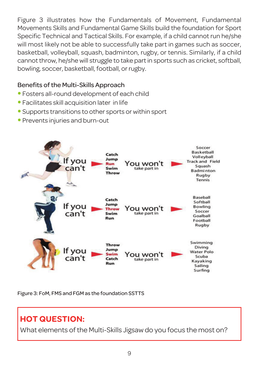Figure 3 illustrates how the Fundamentals of Movement, Fundamental Movements Skills and Fundamental Game Skills build the foundation for Sport Specific Technical and Tactical Skills. For example, if a child cannot run he/she will most likely not be able to successfully take part in games such as soccer, basketball, volleyball, squash, badminton, rugby, or tennis. Similarly, if a child cannot throw, he/she will struggle to take part in sports such as cricket, softball, bowling, soccer, basketball, football, or rugby.

#### Benefits of the Multi-Skills Approach

- Fosters all-round development of each child
- Facilitates skill acquisition later in life
- Supports transitions to other sports or within sport
- Prevents injuries and burn-out



Figure 3: FoM, FMS and FGM as the foundation SSTTS

### **HOT QUESTION:**

What elements of the Multi-Skills Jigsaw do you focus the most on?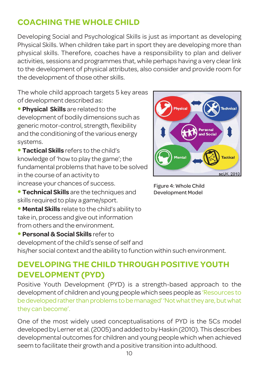### **COACHING THE WHOLE CHILD**

Developing Social and Psychological Skills is just as important as developing Physical Skills. When children take part in sport they are developing more than physical skills. Therefore, coaches have a responsibility to plan and deliver activities, sessions and programmes that, while perhaps having a very clear link to the development of physical attributes, also consider and provide room for the development of those other skills.

The whole child approach targets 5 key areas of development described as:

• **Physical Skills** are related to the development of bodily dimensions such as generic motor-control, strength, flexibility and the conditioning of the various energy systems.

• **Tactical Skills** refers to the child's knowledge of 'how to play the game'; the fundamental problems that have to be solved in the course of an activity to increase your chances of success.

- **Technical Skills** are the techniques and skills required to play a game/sport.
- **Mental Skills** relate to the child's ability to take in, process and give out information from others and the environment.

• **Personal&Social Skills** referto development of the child's sense of self and his/her social context and the ability to function within such environment.

### **DEVELOPING THE CHILD THROUGH POSITIVE YOUTH DEVELOPMENT (PYD)**

Positive Youth Development (PYD) is a strength-based approach to the development of children and young peoplewhich sees people as 'Resources to be developed rather than problems to be managed' 'Not what they are, but what they can become'.

One of the most widely used conceptualisations of PYD is the 5Cs model developed by Lerner et al. (2005) and added to by Haskin (2010). This describes developmental outcomes for children and young people which when achieved seem to facilitate their growth and a positive transition into adulthood.



Figure 4: Whole Child Development Model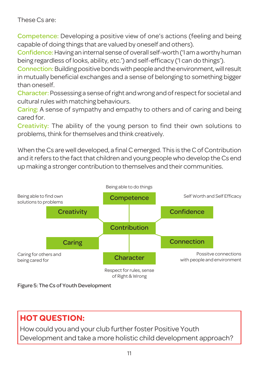These Cs are:

Competence: Developing a positive view of one's actions (feeling and being capable of doing things that are valued by oneself and others).

Confidence:Having an internal senseofoverall self-worth ('I amaworthy human being regardless of looks, ability, etc.') and self-efficacy ('I can do things').

Connection: Building positive bonds with people and the environment, will result in mutually beneficial exchanges and a sense of belonging to something bigger than oneself.

Character: Possessing a senseofright andwrong andofrespectfor societal and cultural rules with matching behaviours.

Caring: A sense of sympathy and empathy to others and of caring and being cared for.

Creativity: The ability of the young person to find their own solutions to problems,think forthemselves and think creatively.

When the Cs are well developed, a final Cemerged. This is the C of Contribution and it refers to the fact that children and young people who develop the Cs end up making a stronger contribution to themselves and their communities.



Figure 5: The Cs of Youth Development

### **HOT QUESTION:**

How could you and your club further foster Positive Youth Development and take a more holistic child development approach?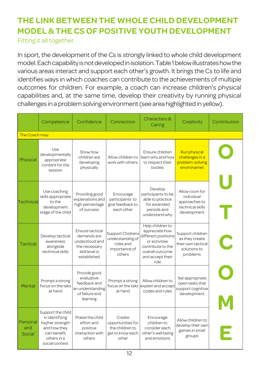# **THE LINK BETWEEN THE WHOLE CHILD DEVELOPMENT MODEL & THE CS OF POSITIVE YOUTH DEVELOPMENT**

Fitting it all together

In sport, the development of the Cs is strongly linked to whole child development model.Eachcapabilityisnotdevelopedinisolation.Table1belowillustrateshowthe various areas interact and support each other's growth. It brings the Cs to life and identifies ways in which coaches can contribute to the achievements of multiple outcomes for children. For example, a coach can increase children's physical capabilities and, at the same time, develop their creativity by running physical challenges in a problem solving environment (see area highlighted in yellow).

|                           | Competence                                                                                                              | Confidence                                                                                         | Connection                                                                   | Characters &<br>Caring                                                                                                                         | Creativity                                                                           | Contribution |  |  |
|---------------------------|-------------------------------------------------------------------------------------------------------------------------|----------------------------------------------------------------------------------------------------|------------------------------------------------------------------------------|------------------------------------------------------------------------------------------------------------------------------------------------|--------------------------------------------------------------------------------------|--------------|--|--|
| The Coach may:            |                                                                                                                         |                                                                                                    |                                                                              |                                                                                                                                                |                                                                                      |              |  |  |
| Physical                  | Use<br>developmentally<br>appropriate<br>content for the<br>session                                                     | Show how<br>children are<br>developing<br>physically                                               | Allow children to<br>work with others.                                       | Ensure children<br>learn why and how<br>to respect their<br>bodies                                                                             | Run phyiscal<br>challanges in a<br>problem-solving<br>environamet                    |              |  |  |
| <b>Technical</b>          | Use coaching<br>skills appropriate<br>to the<br>development<br>stage of the child                                       | Providing good<br>explanations and<br>high percentage<br>of success                                | Encourage<br>participants to<br>give feedback to<br>each other               | Develop<br>participants to be<br>able to practice<br>for extended<br>periods and<br>understand why                                             | Allow room for<br>individual<br>approaches to<br>technical skills<br>development     |              |  |  |
| <b>Tactical</b>           | Develop tactical<br>awareness<br>alongside<br>technical skills                                                          | Ensure tactical<br>demands are<br>understood and<br>the necessary<br>skill level is<br>established | Support Chidrens<br>understanding of<br>roles and<br>importance of<br>others | Help children to<br>appreciate how<br>different positions<br>or activities<br>contribute to the<br>overall outcome<br>and accept their<br>role | Support children<br>as they create<br>their own tactical<br>solutions to<br>problems | $\mathbf C$  |  |  |
| Mental                    | Prompt a strong<br>focus on the taks<br>at hand                                                                         | Provide good<br>evaluative<br>feedback and<br>an understanding<br>of failure and<br>learning       | Prompt a strong<br>focus on the taks<br>at hand                              | Allow children to<br>explain and accept<br>codes and rules                                                                                     | Set appropriate<br>open tasks that<br>support cognitive<br>development               |              |  |  |
| Personal<br>and<br>Social | Support the child<br>in identifying<br>his/her strength<br>and how they<br>can benefit<br>others in a<br>social context | Praise the child<br>effort and<br>positive<br>interaction with<br>others                           | Create<br>opportunities for<br>the children to<br>get to know each<br>other  | Encourage<br>children to<br>consider each<br>other's well being<br>and emotions                                                                | Allow children to<br>develop their own<br>games in small<br>groups                   | Е            |  |  |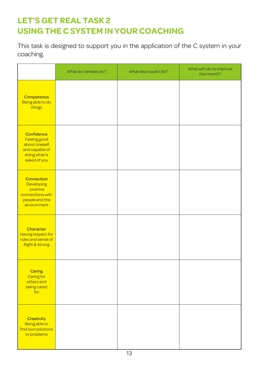## **LET'S GET REAL TASK 2 USING THE C SYSTEM IN YOUR COACHING**

This task is designed to support you in the application of the C system in your coaching.

|                                                                                                  | What do I already do? | What else could I do? | What will I do to improve<br>this month? |
|--------------------------------------------------------------------------------------------------|-----------------------|-----------------------|------------------------------------------|
| Competence<br>Being able to do<br>things                                                         |                       |                       |                                          |
| Confidence<br>Feeling good<br>about oneself<br>and capable of<br>doing what is<br>asked of you   |                       |                       |                                          |
| Connection<br><b>Developing</b><br>positive<br>connections with<br>people and the<br>environment |                       |                       |                                          |
| Character<br>Having respect for<br>rules and sense of<br>Right & Wrong                           |                       |                       |                                          |
| Caring<br>Caring for<br>others and<br>being cared<br>for                                         |                       |                       |                                          |
| Creativity<br>Being able to<br>find own solutions<br>to problems                                 |                       |                       |                                          |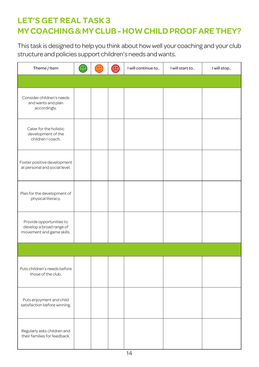## **LET'S GET REAL TASK 3 MYCOACHING&MYCLUB-HOWCHILDPROOFARETHEY?**

This task is designed to help you think about howwell your coaching and your club structure and policies support children's needs and wants.

| Theme / Item                                                                      |  | I will continue to | I will start to | I will stop |
|-----------------------------------------------------------------------------------|--|--------------------|-----------------|-------------|
|                                                                                   |  |                    |                 |             |
| Consider children's needs<br>and wants and plan<br>accordingly.                   |  |                    |                 |             |
| Cater for the holistic<br>development of the<br>children I coach.                 |  |                    |                 |             |
| Foster positive development<br>at personal and social level.                      |  |                    |                 |             |
| Plan for the development of<br>physical literacy.                                 |  |                    |                 |             |
| Provide opportunities to<br>develop a broad range of<br>movement and game skills. |  |                    |                 |             |
|                                                                                   |  |                    |                 |             |
| Puts children's needs before<br>those of the club.                                |  |                    |                 |             |
| Puts enjoyment and child<br>satisfaction before winning.                          |  |                    |                 |             |
| Regularly asks children and<br>their families for feedback.                       |  |                    |                 |             |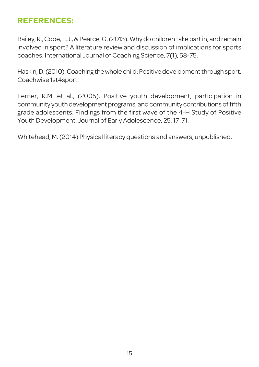### **REFERENCES:**

Bailey,R.,Cope,E.J.,&Pearce,G.(2013).Whydochildren takepartin, andremain involved in sport? A literature review and discussion of implications for sports coaches. International Journal of Coaching Science, 7(1), 58-75.

Haskin, D. (2010). Coaching the whole child: Positive development through sport. Coachwise 1st4sport.

Lerner, R.M. et al., (2005). Positive youth development, participation in community youth development programs, and community contributions of fifth grade adolescents: Findings from the first wave of the 4-H Study of Positive Youth Development. Journal of Early Adolescence, 25,17-71.

Whitehead, M.(2014) Physical literacy questions and answers, unpublished.